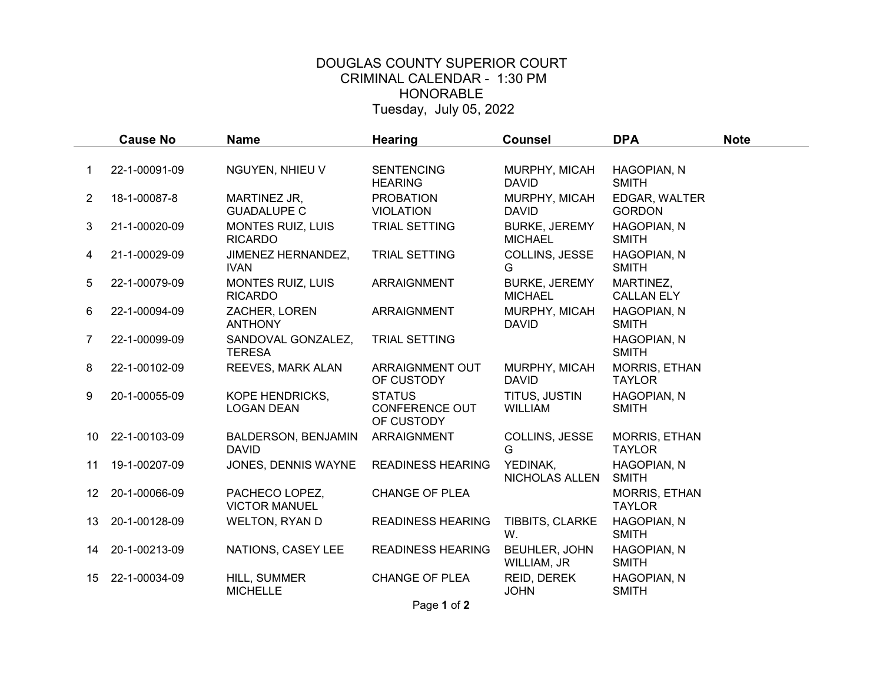## DOUGLAS COUNTY SUPERIOR COURT CRIMINAL CALENDAR - 1:30 PM HONORABLE Tuesday, July 05, 2022

|                | <b>Cause No</b> | <b>Name</b>                                 | <b>Hearing</b>                                       | <b>Counsel</b>                         | <b>DPA</b>                            | <b>Note</b> |
|----------------|-----------------|---------------------------------------------|------------------------------------------------------|----------------------------------------|---------------------------------------|-------------|
|                |                 |                                             |                                                      |                                        |                                       |             |
|                | 22-1-00091-09   | NGUYEN, NHIEU V                             | <b>SENTENCING</b><br><b>HEARING</b>                  | MURPHY, MICAH<br><b>DAVID</b>          | HAGOPIAN, N<br><b>SMITH</b>           |             |
| $\overline{2}$ | 18-1-00087-8    | MARTINEZ JR,<br><b>GUADALUPE C</b>          | <b>PROBATION</b><br><b>VIOLATION</b>                 | MURPHY, MICAH<br><b>DAVID</b>          | EDGAR, WALTER<br><b>GORDON</b>        |             |
| 3              | 21-1-00020-09   | <b>MONTES RUIZ, LUIS</b><br><b>RICARDO</b>  | TRIAL SETTING                                        | <b>BURKE, JEREMY</b><br><b>MICHAEL</b> | HAGOPIAN, N<br><b>SMITH</b>           |             |
| 4              | 21-1-00029-09   | JIMENEZ HERNANDEZ,<br><b>IVAN</b>           | TRIAL SETTING                                        | COLLINS, JESSE<br>G                    | HAGOPIAN, N<br>SMITH                  |             |
| 5              | 22-1-00079-09   | <b>MONTES RUIZ, LUIS</b><br><b>RICARDO</b>  | <b>ARRAIGNMENT</b>                                   | <b>BURKE, JEREMY</b><br><b>MICHAEL</b> | MARTINEZ,<br><b>CALLAN ELY</b>        |             |
| 6              | 22-1-00094-09   | ZACHER, LOREN<br><b>ANTHONY</b>             | <b>ARRAIGNMENT</b>                                   | MURPHY, MICAH<br><b>DAVID</b>          | HAGOPIAN, N<br><b>SMITH</b>           |             |
| $\overline{7}$ | 22-1-00099-09   | SANDOVAL GONZALEZ,<br><b>TERESA</b>         | TRIAL SETTING                                        |                                        | HAGOPIAN, N<br><b>SMITH</b>           |             |
| 8              | 22-1-00102-09   | REEVES, MARK ALAN                           | ARRAIGNMENT OUT<br>OF CUSTODY                        | MURPHY, MICAH<br><b>DAVID</b>          | MORRIS, ETHAN<br><b>TAYLOR</b>        |             |
| 9              | 20-1-00055-09   | <b>KOPE HENDRICKS,</b><br><b>LOGAN DEAN</b> | <b>STATUS</b><br><b>CONFERENCE OUT</b><br>OF CUSTODY | TITUS, JUSTIN<br><b>WILLIAM</b>        | HAGOPIAN, N<br><b>SMITH</b>           |             |
| 10             | 22-1-00103-09   | BALDERSON, BENJAMIN<br><b>DAVID</b>         | ARRAIGNMENT                                          | COLLINS, JESSE<br>G                    | MORRIS, ETHAN<br><b>TAYLOR</b>        |             |
| 11             | 19-1-00207-09   | JONES, DENNIS WAYNE                         | <b>READINESS HEARING</b>                             | YEDINAK,<br>NICHOLAS ALLEN             | HAGOPIAN, N<br><b>SMITH</b>           |             |
| 12             | 20-1-00066-09   | PACHECO LOPEZ,<br><b>VICTOR MANUEL</b>      | <b>CHANGE OF PLEA</b>                                |                                        | <b>MORRIS, ETHAN</b><br><b>TAYLOR</b> |             |
| 13             | 20-1-00128-09   | <b>WELTON, RYAN D</b>                       | <b>READINESS HEARING</b>                             | TIBBITS, CLARKE<br>W.                  | HAGOPIAN, N<br><b>SMITH</b>           |             |
| 14             | 20-1-00213-09   | NATIONS, CASEY LEE                          | <b>READINESS HEARING</b>                             | BEUHLER, JOHN<br>WILLIAM, JR           | HAGOPIAN, N<br><b>SMITH</b>           |             |
| 15             | 22-1-00034-09   | HILL, SUMMER<br><b>MICHELLE</b>             | <b>CHANGE OF PLEA</b>                                | REID, DEREK<br><b>JOHN</b>             | HAGOPIAN, N<br><b>SMITH</b>           |             |

Page 1 of 2